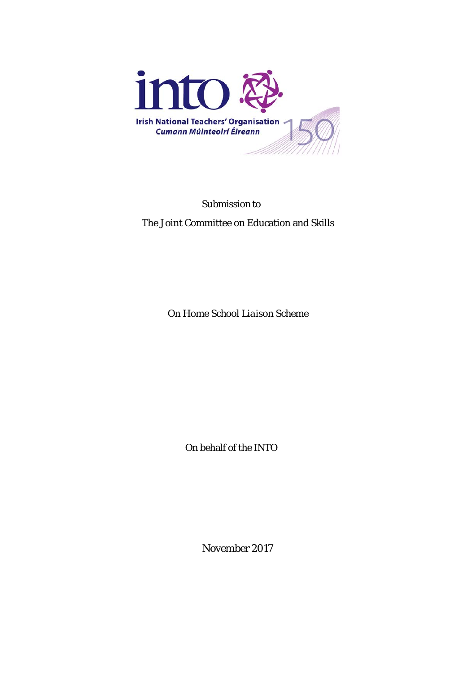

Submission to

The Joint Committee on Education and Skills

On *Home School Liaison Scheme*

On behalf of the INTO

November 2017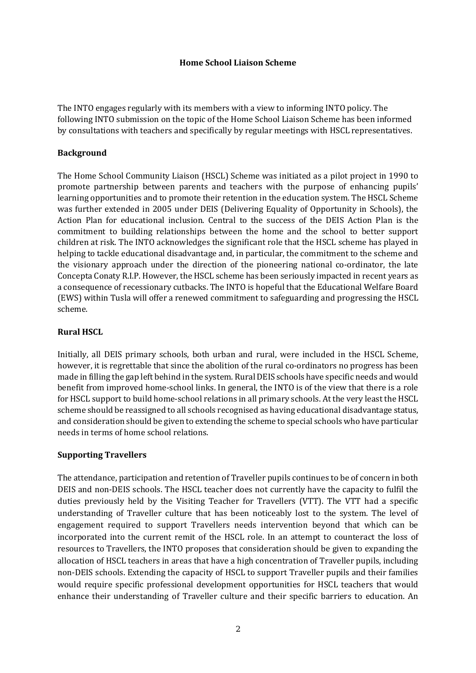#### **Home School Liaison Scheme**

The INTO engages regularly with its members with a view to informing INTO policy. The following INTO submission on the topic of the Home School Liaison Scheme has been informed by consultations with teachers and specifically by regular meetings with HSCL representatives.

#### **Background**

The Home School Community Liaison (HSCL) Scheme was initiated as a pilot project in 1990 to promote partnership between parents and teachers with the purpose of enhancing pupils' learning opportunities and to promote their retention in the education system. The HSCL Scheme was further extended in 2005 under DEIS (Delivering Equality of Opportunity in Schools), the Action Plan for educational inclusion. Central to the success of the DEIS Action Plan is the commitment to building relationships between the home and the school to better support children at risk. The INTO acknowledges the significant role that the HSCL scheme has played in helping to tackle educational disadvantage and, in particular, the commitment to the scheme and the visionary approach under the direction of the pioneering national co-ordinator, the late Concepta Conaty R.I.P. However, the HSCL scheme has been seriously impacted in recent years as a consequence of recessionary cutbacks. The INTO is hopeful that the Educational Welfare Board (EWS) within Tusla will offer a renewed commitment to safeguarding and progressing the HSCL scheme.

## **Rural HSCL**

Initially, all DEIS primary schools, both urban and rural, were included in the HSCL Scheme, however, it is regrettable that since the abolition of the rural co-ordinators no progress has been made in filling the gap left behind in the system. Rural DEIS schools have specific needs and would benefit from improved home-school links. In general, the INTO is of the view that there is a role for HSCL support to build home-school relations in all primary schools. At the very least the HSCL scheme should be reassigned to all schools recognised as having educational disadvantage status, and consideration should be given to extending the scheme to special schools who have particular needs in terms of home school relations.

#### **Supporting Travellers**

The attendance, participation and retention of Traveller pupils continues to be of concern in both DEIS and non-DEIS schools. The HSCL teacher does not currently have the capacity to fulfil the duties previously held by the Visiting Teacher for Travellers (VTT). The VTT had a specific understanding of Traveller culture that has been noticeably lost to the system. The level of engagement required to support Travellers needs intervention beyond that which can be incorporated into the current remit of the HSCL role. In an attempt to counteract the loss of resources to Travellers, the INTO proposes that consideration should be given to expanding the allocation of HSCL teachers in areas that have a high concentration of Traveller pupils, including non-DEIS schools. Extending the capacity of HSCL to support Traveller pupils and their families would require specific professional development opportunities for HSCL teachers that would enhance their understanding of Traveller culture and their specific barriers to education. An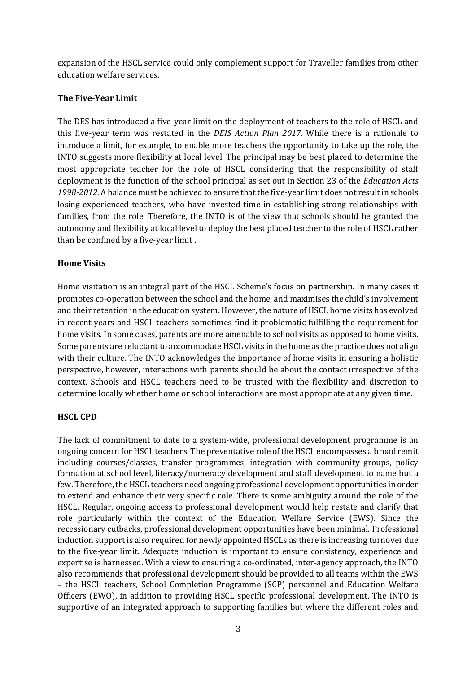expansion of the HSCL service could only complement support for Traveller families from other education welfare services.

## **The Five-Year Limit**

The DES has introduced a five-year limit on the deployment of teachers to the role of HSCL and this five-year term was restated in the *DEIS Action Plan 2017*. While there is a rationale to introduce a limit, for example, to enable more teachers the opportunity to take up the role, the INTO suggests more flexibility at local level. The principal may be best placed to determine the most appropriate teacher for the role of HSCL considering that the responsibility of staff deployment is the function of the school principal as set out in Section 23 of the *Education Acts 1998-2012.* A balance must be achieved to ensure that the five-year limit does not result in schools losing experienced teachers, who have invested time in establishing strong relationships with families, from the role. Therefore, the INTO is of the view that schools should be granted the autonomy and flexibility at local level to deploy the best placed teacher to the role of HSCL rather than be confined by a five-year limit .

# **Home Visits**

Home visitation is an integral part of the HSCL Scheme's focus on partnership. In many cases it promotes co-operation between the school and the home, and maximises the child's involvement and their retention in the education system. However, the nature of HSCL home visits has evolved in recent years and HSCL teachers sometimes find it problematic fulfilling the requirement for home visits. In some cases, parents are more amenable to school visits as opposed to home visits. Some parents are reluctant to accommodate HSCL visits in the home as the practice does not align with their culture. The INTO acknowledges the importance of home visits in ensuring a holistic perspective, however, interactions with parents should be about the contact irrespective of the context. Schools and HSCL teachers need to be trusted with the flexibility and discretion to determine locally whether home or school interactions are most appropriate at any given time.

## **HSCL CPD**

The lack of commitment to date to a system-wide, professional development programme is an ongoing concern for HSCL teachers. The preventative role of the HSCL encompasses a broad remit including courses/classes, transfer programmes, integration with community groups, policy formation at school level, literacy/numeracy development and staff development to name but a few. Therefore, the HSCL teachers need ongoing professional development opportunities in order to extend and enhance their very specific role. There is some ambiguity around the role of the HSCL. Regular, ongoing access to professional development would help restate and clarify that role particularly within the context of the Education Welfare Service (EWS). Since the recessionary cutbacks, professional development opportunities have been minimal. Professional induction support is also required for newly appointed HSCLs as there is increasing turnover due to the five-year limit. Adequate induction is important to ensure consistency, experience and expertise is harnessed. With a view to ensuring a co-ordinated, inter-agency approach, the INTO also recommends that professional development should be provided to all teams within the EWS – the HSCL teachers, School Completion Programme (SCP) personnel and Education Welfare Officers (EWO), in addition to providing HSCL specific professional development. The INTO is supportive of an integrated approach to supporting families but where the different roles and